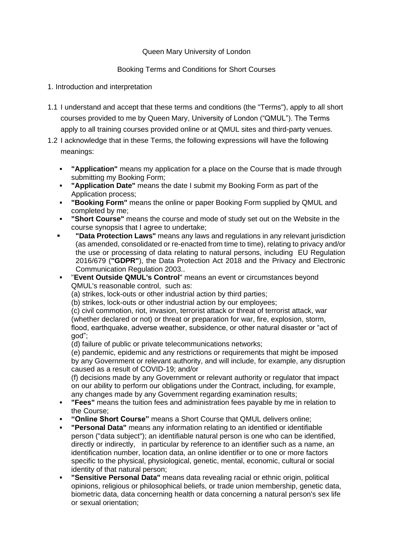### Queen Mary University of London

# Booking Terms and Conditions for Short Courses

### 1. Introduction and interpretation

- 1.1 I understand and accept that these terms and conditions (the "Terms"), apply to all short courses provided to me by Queen Mary, University of London ("QMUL"). The Terms apply to all training courses provided online or at QMUL sites and third-party venues.
- 1.2 I acknowledge that in these Terms, the following expressions will have the following meanings:
	- **"Application"** means my application for a place on the Course that is made through submitting my Booking Form;
	- **"Application Date"** means the date I submit my Booking Form as part of the Application process;
	- **"Booking Form"** means the online or paper Booking Form supplied by QMUL and completed by me;
	- **"Short Course"** means the course and mode of study set out on the Website in the course synopsis that I agree to undertake;
	- **"Data Protection Laws"** means any laws and regulations in any relevant jurisdiction (as amended, consolidated or re-enacted from time to time), relating to privacy and/or the use or processing of data relating to natural persons, including EU Regulation 2016/679 (**"GDPR"**), the Data Protection Act 2018 and the Privacy and Electronic Communication Regulation 2003..
	- "**Event Outside QMUL's Control**" means an event or circumstances beyond QMUL's reasonable control, such as:
		- (a) strikes, lock-outs or other industrial action by third parties;
		- (b) strikes, lock-outs or other industrial action by our employees;

(c) civil commotion, riot, invasion, terrorist attack or threat of terrorist attack, war (whether declared or not) or threat or preparation for war, fire, explosion, storm, flood, earthquake, adverse weather, subsidence, or other natural disaster or "act of god";

(d) failure of public or private telecommunications networks;

(e) pandemic, epidemic and any restrictions or requirements that might be imposed by any Government or relevant authority, and will include, for example, any disruption caused as a result of COVID-19; and/or

(f) decisions made by any Government or relevant authority or regulator that impact on our ability to perform our obligations under the Contract, including, for example, any changes made by any Government regarding examination results;

- **"Fees"** means the tuition fees and administration fees payable by me in relation to the Course;
- **"Online Short Course"** means a Short Course that QMUL delivers online;
- **"Personal Data"** means any information relating to an identified or identifiable person ("data subject"); an identifiable natural person is one who can be identified, directly or indirectly, in particular by reference to an identifier such as a name, an identification number, location data, an online identifier or to one or more factors specific to the physical, physiological, genetic, mental, economic, cultural or social identity of that natural person;
- **"Sensitive Personal Data"** means data revealing racial or ethnic origin, political opinions, religious or philosophical beliefs, or trade union membership, genetic data, biometric data, data concerning health or data concerning a natural person's sex life or sexual orientation;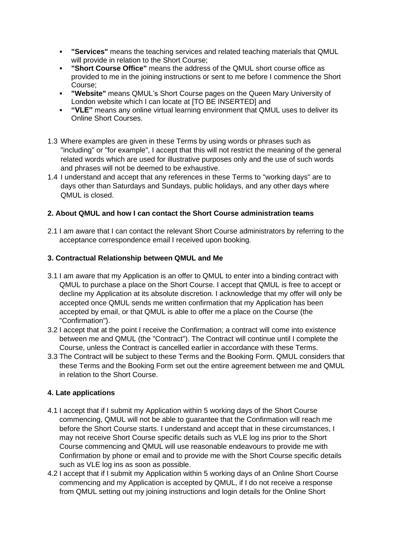- **"Services"** means the teaching services and related teaching materials that QMUL will provide in relation to the Short Course;
- **"Short Course Office"** means the address of the QMUL short course office as provided to me in the joining instructions or sent to me before I commence the Short Course;
- **"Website"** means QMUL's Short Course pages on the Queen Mary University of London website which I can locate at [TO BE INSERTED] and
- **"VLE"** means any online virtual learning environment that QMUL uses to deliver its Online Short Courses.
- 1.3 Where examples are given in these Terms by using words or phrases such as "including" or "for example", I accept that this will not restrict the meaning of the general related words which are used for illustrative purposes only and the use of such words and phrases will not be deemed to be exhaustive.
- 1.4 I understand and accept that any references in these Terms to "working days" are to days other than Saturdays and Sundays, public holidays, and any other days where QMUL is closed.

# **2. About QMUL and how I can contact the Short Course administration teams**

2.1 I am aware that I can contact the relevant Short Course administrators by referring to the acceptance correspondence email I received upon booking.

### **3. Contractual Relationship between QMUL and Me**

- 3.1 I am aware that my Application is an offer to QMUL to enter into a binding contract with QMUL to purchase a place on the Short Course. I accept that QMUL is free to accept or decline my Application at its absolute discretion. I acknowledge that my offer will only be accepted once QMUL sends me written confirmation that my Application has been accepted by email, or that QMUL is able to offer me a place on the Course (the "Confirmation").
- 3.2 I accept that at the point I receive the Confirmation; a contract will come into existence between me and QMUL (the "Contract"). The Contract will continue until I complete the Course, unless the Contract is cancelled earlier in accordance with these Terms.
- 3.3 The Contract will be subject to these Terms and the Booking Form. QMUL considers that these Terms and the Booking Form set out the entire agreement between me and QMUL in relation to the Short Course.

### **4. Late applications**

- 4.1 I accept that if I submit my Application within 5 working days of the Short Course commencing, QMUL will not be able to guarantee that the Confirmation will reach me before the Short Course starts. I understand and accept that in these circumstances, I may not receive Short Course specific details such as VLE log ins prior to the Short Course commencing and QMUL will use reasonable endeavours to provide me with Confirmation by phone or email and to provide me with the Short Course specific details such as VLE log ins as soon as possible.
- 4.2 I accept that if I submit my Application within 5 working days of an Online Short Course commencing and my Application is accepted by QMUL, if I do not receive a response from QMUL setting out my joining instructions and login details for the Online Short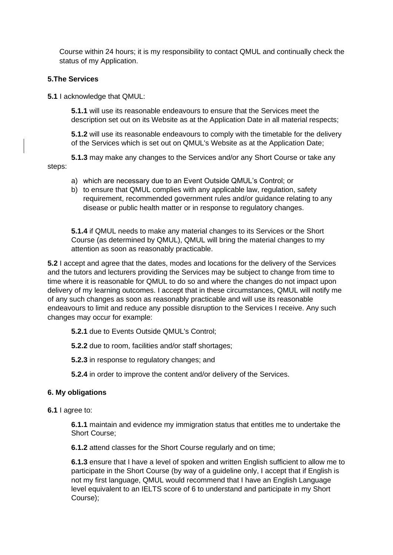Course within 24 hours; it is my responsibility to contact QMUL and continually check the status of my Application.

### **5.The Services**

**5.1** I acknowledge that QMUL:

**5.1.1** will use its reasonable endeavours to ensure that the Services meet the description set out on its Website as at the Application Date in all material respects;

**5.1.2** will use its reasonable endeavours to comply with the timetable for the delivery of the Services which is set out on QMUL's Website as at the Application Date;

**5.1.3** may make any changes to the Services and/or any Short Course or take any steps:

a) which are necessary due to an Event Outside QMUL's Control; or

b) to ensure that QMUL complies with any applicable law, regulation, safety requirement, recommended government rules and/or guidance relating to any disease or public health matter or in response to regulatory changes.

**5.1.4** if QMUL needs to make any material changes to its Services or the Short Course (as determined by QMUL), QMUL will bring the material changes to my attention as soon as reasonably practicable.

**5.2** I accept and agree that the dates, modes and locations for the delivery of the Services and the tutors and lecturers providing the Services may be subject to change from time to time where it is reasonable for QMUL to do so and where the changes do not impact upon delivery of my learning outcomes. I accept that in these circumstances, QMUL will notify me of any such changes as soon as reasonably practicable and will use its reasonable endeavours to limit and reduce any possible disruption to the Services I receive. Any such changes may occur for example:

**5.2.1** due to Events Outside QMUL's Control;

**5.2.2** due to room, facilities and/or staff shortages;

**5.2.3** in response to regulatory changes; and

**5.2.4** in order to improve the content and/or delivery of the Services.

### **6. My obligations**

**6.1** I agree to:

**6.1.1** maintain and evidence my immigration status that entitles me to undertake the Short Course;

**6.1.2** attend classes for the Short Course regularly and on time;

**6.1.3** ensure that I have a level of spoken and written English sufficient to allow me to participate in the Short Course (by way of a guideline only, I accept that if English is not my first language, QMUL would recommend that I have an English Language level equivalent to an IELTS score of 6 to understand and participate in my Short Course);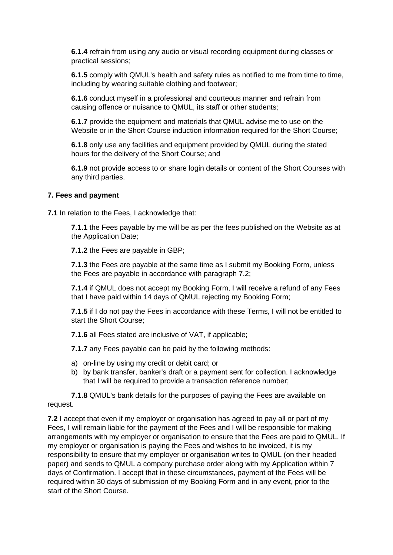**6.1.4** refrain from using any audio or visual recording equipment during classes or practical sessions;

**6.1.5** comply with QMUL's health and safety rules as notified to me from time to time, including by wearing suitable clothing and footwear;

**6.1.6** conduct myself in a professional and courteous manner and refrain from causing offence or nuisance to QMUL, its staff or other students;

**6.1.7** provide the equipment and materials that QMUL advise me to use on the Website or in the Short Course induction information required for the Short Course;

**6.1.8** only use any facilities and equipment provided by QMUL during the stated hours for the delivery of the Short Course; and

**6.1.9** not provide access to or share login details or content of the Short Courses with any third parties.

#### **7. Fees and payment**

**7.1** In relation to the Fees, I acknowledge that:

**7.1.1** the Fees payable by me will be as per the fees published on the Website as at the Application Date;

**7.1.2** the Fees are payable in GBP;

**7.1.3** the Fees are payable at the same time as I submit my Booking Form, unless the Fees are payable in accordance with paragraph 7.2;

**7.1.4** if QMUL does not accept my Booking Form, I will receive a refund of any Fees that I have paid within 14 days of QMUL rejecting my Booking Form;

**7.1.5** if I do not pay the Fees in accordance with these Terms, I will not be entitled to start the Short Course;

**7.1.6** all Fees stated are inclusive of VAT, if applicable;

**7.1.7** any Fees payable can be paid by the following methods:

- a) on-line by using my credit or debit card; or
- b) by bank transfer, banker's draft or a payment sent for collection. I acknowledge that I will be required to provide a transaction reference number;

**7.1.8** QMUL's bank details for the purposes of paying the Fees are available on request.

**7.2** I accept that even if my employer or organisation has agreed to pay all or part of my Fees, I will remain liable for the payment of the Fees and I will be responsible for making arrangements with my employer or organisation to ensure that the Fees are paid to QMUL. If my employer or organisation is paying the Fees and wishes to be invoiced, it is my responsibility to ensure that my employer or organisation writes to QMUL (on their headed paper) and sends to QMUL a company purchase order along with my Application within 7 days of Confirmation. I accept that in these circumstances, payment of the Fees will be required within 30 days of submission of my Booking Form and in any event, prior to the start of the Short Course.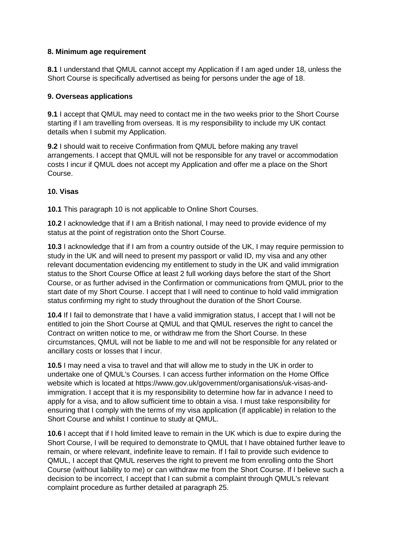### **8. Minimum age requirement**

**8.1** I understand that QMUL cannot accept my Application if I am aged under 18, unless the Short Course is specifically advertised as being for persons under the age of 18.

### **9. Overseas applications**

**9.1** I accept that QMUL may need to contact me in the two weeks prior to the Short Course starting if I am travelling from overseas. It is my responsibility to include my UK contact details when I submit my Application.

**9.2** I should wait to receive Confirmation from QMUL before making any travel arrangements. I accept that QMUL will not be responsible for any travel or accommodation costs I incur if QMUL does not accept my Application and offer me a place on the Short Course.

# **10. Visas**

**10.1** This paragraph 10 is not applicable to Online Short Courses.

**10.2** I acknowledge that if I am a British national, I may need to provide evidence of my status at the point of registration onto the Short Course.

**10.3** I acknowledge that if I am from a country outside of the UK, I may require permission to study in the UK and will need to present my passport or valid ID, my visa and any other relevant documentation evidencing my entitlement to study in the UK and valid immigration status to the Short Course Office at least 2 full working days before the start of the Short Course, or as further advised in the Confirmation or communications from QMUL prior to the start date of my Short Course. I accept that I will need to continue to hold valid immigration status confirming my right to study throughout the duration of the Short Course.

**10.4** If I fail to demonstrate that I have a valid immigration status, I accept that I will not be entitled to join the Short Course at QMUL and that QMUL reserves the right to cancel the Contract on written notice to me, or withdraw me from the Short Course. In these circumstances, QMUL will not be liable to me and will not be responsible for any related or ancillary costs or losses that I incur.

**10.5** I may need a visa to travel and that will allow me to study in the UK in order to undertake one of QMUL's Courses. I can access further information on the Home Office website which is located at https://www.gov.uk/government/organisations/uk-visas-andimmigration. I accept that it is my responsibility to determine how far in advance I need to apply for a visa, and to allow sufficient time to obtain a visa. I must take responsibility for ensuring that I comply with the terms of my visa application (if applicable) in relation to the Short Course and whilst I continue to study at QMUL.

**10.6** I accept that if I hold limited leave to remain in the UK which is due to expire during the Short Course, I will be required to demonstrate to QMUL that I have obtained further leave to remain, or where relevant, indefinite leave to remain. If I fail to provide such evidence to QMUL, I accept that QMUL reserves the right to prevent me from enrolling onto the Short Course (without liability to me) or can withdraw me from the Short Course. If I believe such a decision to be incorrect, I accept that I can submit a complaint through QMUL's relevant complaint procedure as further detailed at paragraph 25.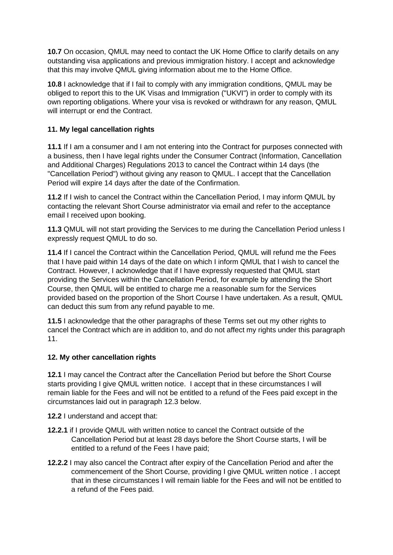**10.7** On occasion, QMUL may need to contact the UK Home Office to clarify details on any outstanding visa applications and previous immigration history. I accept and acknowledge that this may involve QMUL giving information about me to the Home Office.

**10.8** I acknowledge that if I fail to comply with any immigration conditions, QMUL may be obliged to report this to the UK Visas and Immigration ("UKVI") in order to comply with its own reporting obligations. Where your visa is revoked or withdrawn for any reason, QMUL will interrupt or end the Contract.

# **11. My legal cancellation rights**

**11.1** If I am a consumer and I am not entering into the Contract for purposes connected with a business, then I have legal rights under the Consumer Contract (Information, Cancellation and Additional Charges) Regulations 2013 to cancel the Contract within 14 days (the "Cancellation Period") without giving any reason to QMUL. I accept that the Cancellation Period will expire 14 days after the date of the Confirmation.

**11.2** If I wish to cancel the Contract within the Cancellation Period, I may inform QMUL by contacting the relevant Short Course administrator via email and refer to the acceptance email I received upon booking.

**11.3** QMUL will not start providing the Services to me during the Cancellation Period unless I expressly request QMUL to do so.

**11.4** If I cancel the Contract within the Cancellation Period, QMUL will refund me the Fees that I have paid within 14 days of the date on which I inform QMUL that I wish to cancel the Contract. However, I acknowledge that if I have expressly requested that QMUL start providing the Services within the Cancellation Period, for example by attending the Short Course, then QMUL will be entitled to charge me a reasonable sum for the Services provided based on the proportion of the Short Course I have undertaken. As a result, QMUL can deduct this sum from any refund payable to me.

**11.5** I acknowledge that the other paragraphs of these Terms set out my other rights to cancel the Contract which are in addition to, and do not affect my rights under this paragraph 11.

# **12. My other cancellation rights**

**12.1** I may cancel the Contract after the Cancellation Period but before the Short Course starts providing I give QMUL written notice. I accept that in these circumstances I will remain liable for the Fees and will not be entitled to a refund of the Fees paid except in the circumstances laid out in paragraph 12.3 below.

**12.2** I understand and accept that:

- **12.2.1** if I provide QMUL with written notice to cancel the Contract outside of the Cancellation Period but at least 28 days before the Short Course starts, I will be entitled to a refund of the Fees I have paid;
- **12.2.2** I may also cancel the Contract after expiry of the Cancellation Period and after the commencement of the Short Course, providing I give QMUL written notice . I accept that in these circumstances I will remain liable for the Fees and will not be entitled to a refund of the Fees paid.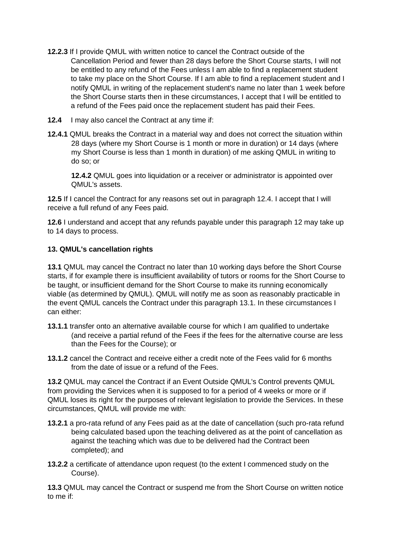- **12.2.3** If I provide QMUL with written notice to cancel the Contract outside of the Cancellation Period and fewer than 28 days before the Short Course starts, I will not be entitled to any refund of the Fees unless I am able to find a replacement student to take my place on the Short Course. If I am able to find a replacement student and I notify QMUL in writing of the replacement student's name no later than 1 week before the Short Course starts then in these circumstances, I accept that I will be entitled to a refund of the Fees paid once the replacement student has paid their Fees.
- **12.4** I may also cancel the Contract at any time if:
- **12.4.1** QMUL breaks the Contract in a material way and does not correct the situation within 28 days (where my Short Course is 1 month or more in duration) or 14 days (where my Short Course is less than 1 month in duration) of me asking QMUL in writing to do so; or

**12.4.2** QMUL goes into liquidation or a receiver or administrator is appointed over QMUL's assets.

**12.5** If I cancel the Contract for any reasons set out in paragraph 12.4. I accept that I will receive a full refund of any Fees paid.

**12.6** I understand and accept that any refunds payable under this paragraph 12 may take up to 14 days to process.

### **13. QMUL's cancellation rights**

**13.1** QMUL may cancel the Contract no later than 10 working days before the Short Course starts, if for example there is insufficient availability of tutors or rooms for the Short Course to be taught, or insufficient demand for the Short Course to make its running economically viable (as determined by QMUL). QMUL will notify me as soon as reasonably practicable in the event QMUL cancels the Contract under this paragraph 13.1. In these circumstances I can either:

- **13.1.1** transfer onto an alternative available course for which I am qualified to undertake (and receive a partial refund of the Fees if the fees for the alternative course are less than the Fees for the Course); or
- **13.1.2** cancel the Contract and receive either a credit note of the Fees valid for 6 months from the date of issue or a refund of the Fees.

**13.2** QMUL may cancel the Contract if an Event Outside QMUL's Control prevents QMUL from providing the Services when it is supposed to for a period of 4 weeks or more or if QMUL loses its right for the purposes of relevant legislation to provide the Services. In these circumstances, QMUL will provide me with:

- **13.2.1** a pro-rata refund of any Fees paid as at the date of cancellation (such pro-rata refund being calculated based upon the teaching delivered as at the point of cancellation as against the teaching which was due to be delivered had the Contract been completed); and
- **13.2.2** a certificate of attendance upon request (to the extent I commenced study on the Course).

**13.3** QMUL may cancel the Contract or suspend me from the Short Course on written notice to me if: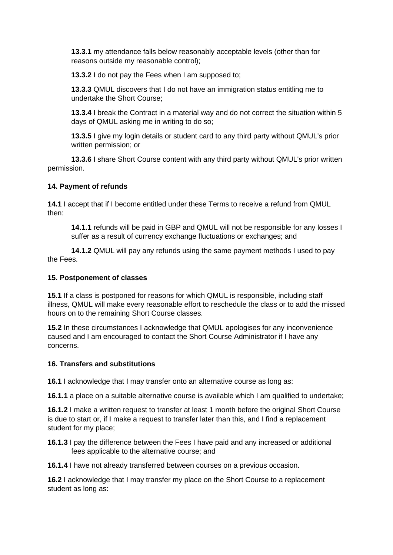**13.3.1** my attendance falls below reasonably acceptable levels (other than for reasons outside my reasonable control);

**13.3.2** I do not pay the Fees when I am supposed to;

**13.3.3** QMUL discovers that I do not have an immigration status entitling me to undertake the Short Course;

**13.3.4** I break the Contract in a material way and do not correct the situation within 5 days of QMUL asking me in writing to do so;

**13.3.5** I give my login details or student card to any third party without QMUL's prior written permission; or

**13.3.6** I share Short Course content with any third party without QMUL's prior written permission.

### **14. Payment of refunds**

**14.1** I accept that if I become entitled under these Terms to receive a refund from QMUL then:

**14.1.1** refunds will be paid in GBP and QMUL will not be responsible for any losses I suffer as a result of currency exchange fluctuations or exchanges; and

**14.1.2** QMUL will pay any refunds using the same payment methods I used to pay the Fees.

### **15. Postponement of classes**

**15.1** If a class is postponed for reasons for which QMUL is responsible, including staff illness, QMUL will make every reasonable effort to reschedule the class or to add the missed hours on to the remaining Short Course classes.

**15.2** In these circumstances I acknowledge that QMUL apologises for any inconvenience caused and I am encouraged to contact the Short Course Administrator if I have any concerns.

### **16. Transfers and substitutions**

**16.1** I acknowledge that I may transfer onto an alternative course as long as:

**16.1.1** a place on a suitable alternative course is available which I am qualified to undertake;

**16.1.2** I make a written request to transfer at least 1 month before the original Short Course is due to start or, if I make a request to transfer later than this, and I find a replacement student for my place;

**16.1.3** I pay the difference between the Fees I have paid and any increased or additional fees applicable to the alternative course; and

**16.1.4** I have not already transferred between courses on a previous occasion.

**16.2** I acknowledge that I may transfer my place on the Short Course to a replacement student as long as: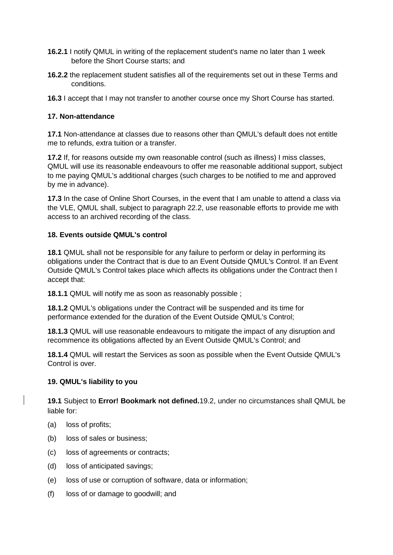- **16.2.1** I notify QMUL in writing of the replacement student's name no later than 1 week before the Short Course starts; and
- **16.2.2** the replacement student satisfies all of the requirements set out in these Terms and conditions.
- **16.3** I accept that I may not transfer to another course once my Short Course has started.

### **17. Non-attendance**

**17.1** Non-attendance at classes due to reasons other than QMUL's default does not entitle me to refunds, extra tuition or a transfer.

**17.2** If, for reasons outside my own reasonable control (such as illness) I miss classes, QMUL will use its reasonable endeavours to offer me reasonable additional support, subject to me paying QMUL's additional charges (such charges to be notified to me and approved by me in advance).

**17.3** In the case of Online Short Courses, in the event that I am unable to attend a class via the VLE, QMUL shall, subject to paragraph 22.2, use reasonable efforts to provide me with access to an archived recording of the class.

### **18. Events outside QMUL's control**

**18.1** QMUL shall not be responsible for any failure to perform or delay in performing its obligations under the Contract that is due to an Event Outside QMUL's Control. If an Event Outside QMUL's Control takes place which affects its obligations under the Contract then I accept that:

**18.1.1** QMUL will notify me as soon as reasonably possible ;

**18.1.2** QMUL's obligations under the Contract will be suspended and its time for performance extended for the duration of the Event Outside QMUL's Control;

**18.1.3** QMUL will use reasonable endeavours to mitigate the impact of any disruption and recommence its obligations affected by an Event Outside QMUL's Control; and

**18.1.4** QMUL will restart the Services as soon as possible when the Event Outside QMUL's Control is over.

### **19. QMUL's liability to you**

**19.1** Subject to **Error! Bookmark not defined.**19.2, under no circumstances shall QMUL be liable for:

- (a) loss of profits;
- (b) loss of sales or business;
- (c) loss of agreements or contracts;
- (d) loss of anticipated savings;
- (e) loss of use or corruption of software, data or information;
- (f) loss of or damage to goodwill; and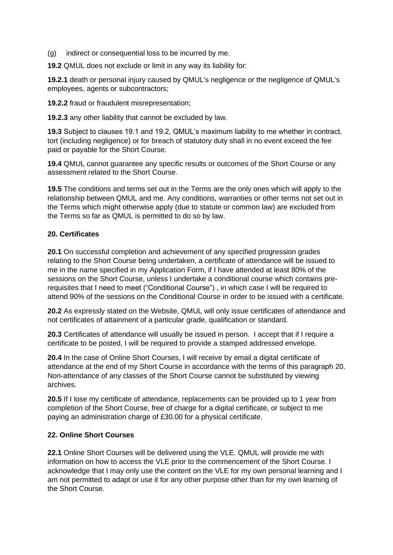(g) indirect or consequential loss to be incurred by me.

**19.2** QMUL does not exclude or limit in any way its liability for:

**19.2.1** death or personal injury caused by QMUL's negligence or the negligence of QMUL's employees, agents or subcontractors;

**19.2.2** fraud or fraudulent misrepresentation;

**19.2.3** any other liability that cannot be excluded by law.

**19.3** Subject to clauses 19.1 and 19.2, QMUL's maximum liability to me whether in contract, tort (including negligence) or for breach of statutory duty shall in no event exceed the fee paid or payable for the Short Course.

**19.4** QMUL cannot guarantee any specific results or outcomes of the Short Course or any assessment related to the Short Course.

**19.5** The conditions and terms set out in the Terms are the only ones which will apply to the relationship between QMUL and me. Any conditions, warranties or other terms not set out in the Terms which might otherwise apply (due to statute or common law) are excluded from the Terms so far as QMUL is permitted to do so by law.

#### **20. Certificates**

**20.1** On successful completion and achievement of any specified progression grades relating to the Short Course being undertaken, a certificate of attendance will be issued to me in the name specified in my Application Form, if I have attended at least 80% of the sessions on the Short Course, unless I undertake a conditional course which contains prerequisites that I need to meet ("Conditional Course") , in which case I will be required to attend 90% of the sessions on the Conditional Course in order to be issued with a certificate.

**20.2** As expressly stated on the Website, QMUL will only issue certificates of attendance and not certificates of attainment of a particular grade, qualification or standard.

**20.3** Certificates of attendance will usually be issued in person. I accept that if I require a certificate to be posted, I will be required to provide a stamped addressed envelope.

**20.4** In the case of Online Short Courses, I will receive by email a digital certificate of attendance at the end of my Short Course in accordance with the terms of this paragraph 20. Non-attendance of any classes of the Short Course cannot be substituted by viewing archives.

**20.5** If I lose my certificate of attendance, replacements can be provided up to 1 year from completion of the Short Course, free of charge for a digital certificate, or subject to me paying an administration charge of £30.00 for a physical certificate.

### **22. Online Short Courses**

**22.1** Online Short Courses will be delivered using the VLE. QMUL will provide me with information on how to access the VLE prior to the commencement of the Short Course. I acknowledge that I may only use the content on the VLE for my own personal learning and I am not permitted to adapt or use it for any other purpose other than for my own learning of the Short Course.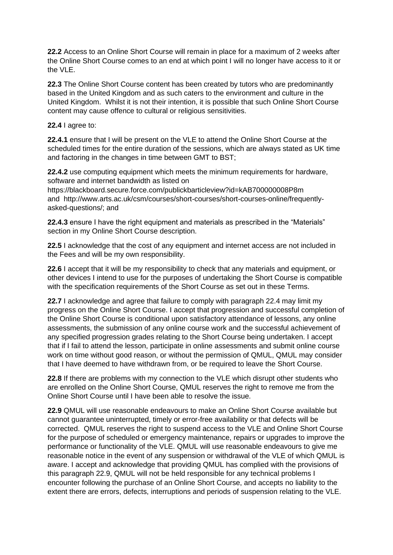**22.2** Access to an Online Short Course will remain in place for a maximum of 2 weeks after the Online Short Course comes to an end at which point I will no longer have access to it or the VLE.

**22.3** The Online Short Course content has been created by tutors who are predominantly based in the United Kingdom and as such caters to the environment and culture in the United Kingdom. Whilst it is not their intention, it is possible that such Online Short Course content may cause offence to cultural or religious sensitivities.

### **22.4** I agree to:

**22.4.1** ensure that I will be present on the VLE to attend the Online Short Course at the scheduled times for the entire duration of the sessions, which are always stated as UK time and factoring in the changes in time between GMT to BST;

**22.4.2** use computing equipment which meets the minimum requirements for hardware, software and internet bandwidth as listed on

https://blackboard.secure.force.com/publickbarticleview?id=kAB700000008P8m and http://www.arts.ac.uk/csm/courses/short-courses/short-courses-online/frequentlyasked-questions/; and

**22.4.3** ensure I have the right equipment and materials as prescribed in the "Materials" section in my Online Short Course description.

**22.5** I acknowledge that the cost of any equipment and internet access are not included in the Fees and will be my own responsibility.

**22.6** I accept that it will be my responsibility to check that any materials and equipment, or other devices I intend to use for the purposes of undertaking the Short Course is compatible with the specification requirements of the Short Course as set out in these Terms.

**22.7** I acknowledge and agree that failure to comply with paragraph 22.4 may limit my progress on the Online Short Course. I accept that progression and successful completion of the Online Short Course is conditional upon satisfactory attendance of lessons, any online assessments, the submission of any online course work and the successful achievement of any specified progression grades relating to the Short Course being undertaken. I accept that if I fail to attend the lesson, participate in online assessments and submit online course work on time without good reason, or without the permission of QMUL, QMUL may consider that I have deemed to have withdrawn from, or be required to leave the Short Course.

**22.8** If there are problems with my connection to the VLE which disrupt other students who are enrolled on the Online Short Course, QMUL reserves the right to remove me from the Online Short Course until I have been able to resolve the issue.

**22.9** QMUL will use reasonable endeavours to make an Online Short Course available but cannot guarantee uninterrupted, timely or error-free availability or that defects will be corrected. QMUL reserves the right to suspend access to the VLE and Online Short Course for the purpose of scheduled or emergency maintenance, repairs or upgrades to improve the performance or functionality of the VLE. QMUL will use reasonable endeavours to give me reasonable notice in the event of any suspension or withdrawal of the VLE of which QMUL is aware. I accept and acknowledge that providing QMUL has complied with the provisions of this paragraph 22.9, QMUL will not be held responsible for any technical problems I encounter following the purchase of an Online Short Course, and accepts no liability to the extent there are errors, defects, interruptions and periods of suspension relating to the VLE.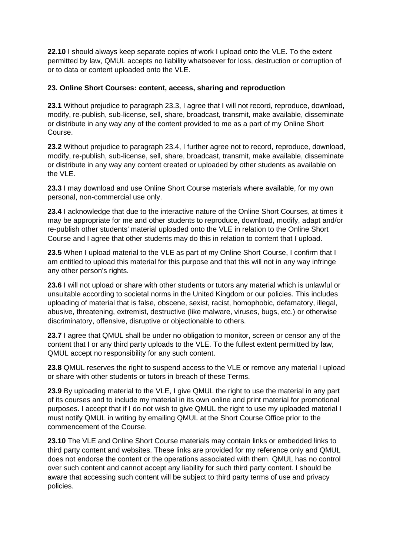**22.10** I should always keep separate copies of work I upload onto the VLE. To the extent permitted by law, QMUL accepts no liability whatsoever for loss, destruction or corruption of or to data or content uploaded onto the VLE.

### **23. Online Short Courses: content, access, sharing and reproduction**

**23.1** Without prejudice to paragraph 23.3, I agree that I will not record, reproduce, download, modify, re-publish, sub-license, sell, share, broadcast, transmit, make available, disseminate or distribute in any way any of the content provided to me as a part of my Online Short Course.

**23.2** Without prejudice to paragraph 23.4, I further agree not to record, reproduce, download, modify, re-publish, sub-license, sell, share, broadcast, transmit, make available, disseminate or distribute in any way any content created or uploaded by other students as available on the VLE.

**23.3** I may download and use Online Short Course materials where available, for my own personal, non-commercial use only.

**23.4** I acknowledge that due to the interactive nature of the Online Short Courses, at times it may be appropriate for me and other students to reproduce, download, modify, adapt and/or re-publish other students' material uploaded onto the VLE in relation to the Online Short Course and I agree that other students may do this in relation to content that I upload.

**23.5** When I upload material to the VLE as part of my Online Short Course, I confirm that I am entitled to upload this material for this purpose and that this will not in any way infringe any other person's rights.

**23.6** I will not upload or share with other students or tutors any material which is unlawful or unsuitable according to societal norms in the United Kingdom or our policies. This includes uploading of material that is false, obscene, sexist, racist, homophobic, defamatory, illegal, abusive, threatening, extremist, destructive (like malware, viruses, bugs, etc.) or otherwise discriminatory, offensive, disruptive or objectionable to others.

**23.7** I agree that QMUL shall be under no obligation to monitor, screen or censor any of the content that I or any third party uploads to the VLE. To the fullest extent permitted by law, QMUL accept no responsibility for any such content.

**23.8** QMUL reserves the right to suspend access to the VLE or remove any material I upload or share with other students or tutors in breach of these Terms.

**23.9** By uploading material to the VLE, I give QMUL the right to use the material in any part of its courses and to include my material in its own online and print material for promotional purposes. I accept that if I do not wish to give QMUL the right to use my uploaded material I must notify QMUL in writing by emailing QMUL at the Short Course Office prior to the commencement of the Course.

**23.10** The VLE and Online Short Course materials may contain links or embedded links to third party content and websites. These links are provided for my reference only and QMUL does not endorse the content or the operations associated with them. QMUL has no control over such content and cannot accept any liability for such third party content. I should be aware that accessing such content will be subject to third party terms of use and privacy policies.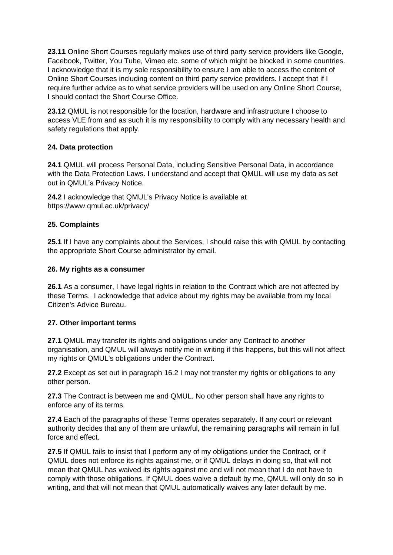**23.11** Online Short Courses regularly makes use of third party service providers like Google, Facebook, Twitter, You Tube, Vimeo etc. some of which might be blocked in some countries. I acknowledge that it is my sole responsibility to ensure I am able to access the content of Online Short Courses including content on third party service providers. I accept that if I require further advice as to what service providers will be used on any Online Short Course, I should contact the Short Course Office.

**23.12** QMUL is not responsible for the location, hardware and infrastructure I choose to access VLE from and as such it is my responsibility to comply with any necessary health and safety regulations that apply.

### **24. Data protection**

**24.1** QMUL will process Personal Data, including Sensitive Personal Data, in accordance with the Data Protection Laws. I understand and accept that QMUL will use my data as set out in QMUL's Privacy Notice.

**24.2** I acknowledge that QMUL's Privacy Notice is available at https://www.qmul.ac.uk/privacy/

# **25. Complaints**

**25.1** If I have any complaints about the Services, I should raise this with QMUL by contacting the appropriate Short Course administrator by email.

### **26. My rights as a consumer**

**26.1** As a consumer, I have legal rights in relation to the Contract which are not affected by these Terms. I acknowledge that advice about my rights may be available from my local Citizen's Advice Bureau.

### **27. Other important terms**

**27.1** QMUL may transfer its rights and obligations under any Contract to another organisation, and QMUL will always notify me in writing if this happens, but this will not affect my rights or QMUL's obligations under the Contract.

**27.2** Except as set out in paragraph 16.2 I may not transfer my rights or obligations to any other person.

**27.3** The Contract is between me and QMUL. No other person shall have any rights to enforce any of its terms.

**27.4** Each of the paragraphs of these Terms operates separately. If any court or relevant authority decides that any of them are unlawful, the remaining paragraphs will remain in full force and effect.

**27.5** If QMUL fails to insist that I perform any of my obligations under the Contract, or if QMUL does not enforce its rights against me, or if QMUL delays in doing so, that will not mean that QMUL has waived its rights against me and will not mean that I do not have to comply with those obligations. If QMUL does waive a default by me, QMUL will only do so in writing, and that will not mean that QMUL automatically waives any later default by me.